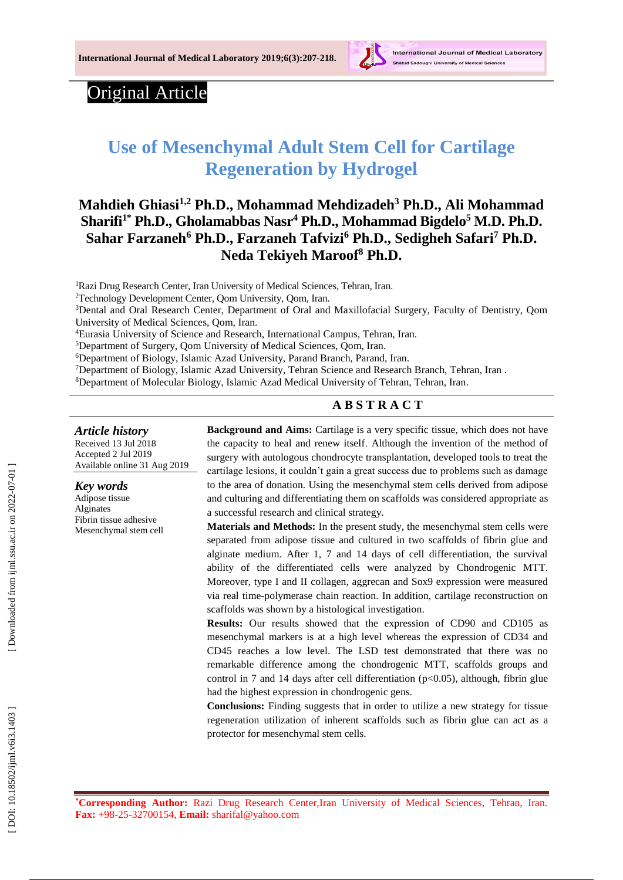

# Original Article

# **Use of Mesenchymal Adult Stem Cell for Cartilage Regeneration by Hydrogel**

## **Mahdieh Ghiasi 1,2 Ph.D ., Mohammad Mehdizadeh <sup>3</sup> Ph . D ., Ali Mohammad**   $\mathbf{S}$ harifi $^{1*}$  Ph.D., Gholamabbas Nasr $^{4}$  Ph.D., Mohammad Bigdelo $^{5}$  M.D. Ph.D.  $\mathbf{S}$ ahar Farzaneh $^6$  Ph.D., Farzaneh Tafvizi $^6$  Ph.D., Sedigheh Safari $^7$  Ph.D. **Neda Tekiyeh Maroof<sup>8</sup> Ph.D.**

<sup>1</sup>Razi Drug Research Center, Iran University of Medical Sciences, Tehran, Iran.

<sup>2</sup>Technology Development Center, Qom University, Qom, Iran.

<sup>3</sup>Dental and Oral Research Center, Department of Oral and Maxillofacial Surgery, Faculty of Dentistry, Qom University of Medical Sciences, Qom, Iran.

<sup>4</sup>Eurasia University of Science and Research, International Campus, Tehran, Iran.

5Department of Surgery, Qom University of Medical Sciences, Qom, Iran.

<sup>6</sup>Department of Biology, Islamic Azad University, Parand Branch, Parand, Iran.

<sup>7</sup>Department of Biology, Islamic Azad University, Tehran Science and Research Branch, Tehran, Iran .

<sup>8</sup>Department of Molecular Biology, Islamic Azad Medical University of Tehran, Tehran, Iran.

## **A B S T R A C T**

*Article history* Received 1 3 Jul 201 8 Accepted 2 Jul 201 9 Available online 31 Aug 201 9

*Key words*

Adipose tissue **Alginates** Fibrin tissue adhesive Mesenchymal stem cell **Background and Aims:** Cartilage is a very specific tissue, which does not have the capacity to heal and renew itself . Although the invention of the method of surgery with autologous chondrocyte transplantation, developed tools to treat the cartilage lesions, it couldn't gain a great success due to problems such as damage to the area of donation. Using the mesenchymal stem cells derived from adipose and culturing and differentiating them on scaffolds was considered appropriate as a successful research and clinical strategy *.*

**Material s and Methods:** In the present study, the mesenchymal stem cells were separated from adipose tissue and cultured in two scaffolds of fibrin glue and alginate medium. After 1, 7 and 14 days of cell differentiation, the survival ability of the differentiated cells were analyzed by Chondrogenic MTT. Moreover, type I and II collagen, aggrecan and Sox9 expression were measured via real time - polymerase chain reaction. In addition, cartilage reconstruction on scaffolds was shown by a histological investigation .

**Results:** Our results showed that the expression of CD90 and CD105 as mesenchymal markers is at <sup>a</sup> high level whereas the expression of CD34 and CD45 reaches a low level. The LSD test demonstrated that there was no remarkable difference among the chondrogenic MTT, scaffolds groups and control in 7 and 14 days after cell differentiation ( $p<0.05$ ), although, fibrin glue had the highest expression in chondrogenic gens.

Conclusions: Finding suggests that in order to utilize a new strategy for tissue regeneration utilization of inherent scaffolds such as fibrin glue can act as a protector for mesenchymal stem cells .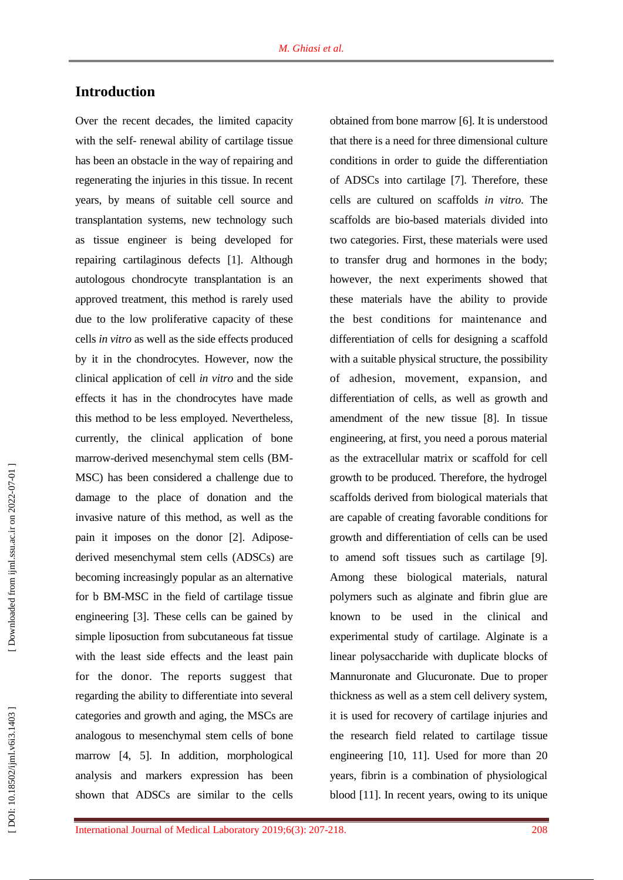## **Introduction**

Over the recent decades, the limited capacity with the self- renewal ability of cartilage tissue has been an obstacle in the way of repairing and regenerating the injuries in this tissue. In recent years, by means of suitable cell source and transplantation systems, new technology such as tissue engineer is being developed for repairing cartilaginous defects [1]. Although autologous chondrocyte transplantation is an approved treatment, this method is rarely used due to the low proliferative capacity of these cells *in vitro* as well as the side effects produced by it in the chondrocytes. However, now the clinical application of cell *in vitro* and the side effects it has in the chondrocytes have made this method to be less employed. Nevertheless, currently, the clinical application of bone marrow -derived mesenchymal stem cells (BM - MSC) has been considered a challenge due to damage to the place of donation and the invasive nature of this method, as well as the pain it imposes on the donor [2]. Adipose derived mesenchymal stem cells (ADSCs) are becoming increasingly popular as an alternative for b BM -MSC in the field of cartilage tissue engineering [3]. These cells can be gained by simple liposuction from subcutaneous fat tissue with the least side effect s and the least pain for the donor. The reports suggest that regarding the ability to differentiate into several categories and growth and aging, the MSCs are analogous to mesenchymal stem cells of bone marrow [4, 5]. In addition, morphological analysis and markers expression has been shown that ADSCs are similar to the cells

obtained from bone marrow [6]. It is understood that there is a need for three dimensional culture conditions in order to guide the differentiation of ADSCs into cartilage [7]. Therefore, these cells are cultured on scaffolds *in vitro*. The scaffolds are bio -based materials divided into two categories. First, these materials were used to transfer drug and hormones in the body; however, the next experiments showed that these materials have the ability to provide the best conditions for maintenance and differentiation of cells for designing a scaffold with a suitable physical structure, the possibility of adhesion, movement, expansion, and differentiation of cells, as well as growth and amendment of the new tissue [8]. In tissue engineering, at first, you need a porous material as the extracellular matrix or scaffold for cell growth to be produced. Therefore, the hydrogel scaffolds derived from biological materials that are capable of creating favorable conditions for growth and differentiation of cells can be used to amend soft tissues such as cartilage [9]. Among these biological materials, natural polymers such as alginate and fibrin glue are known to be used in the clinical and experimental study of cartilage. Alginate is a linear polysaccharide with duplicate blocks of Mannuronate and Glucuronate. Due to proper thickness as well as a stem cell delivery system, it is used for recovery of cartilage injuries and the research field related to cartilage tissue engineering [10, 11]. Used for more than 20 years, fibrin is a combination of physiological blood [11]. In recent years, owing to its unique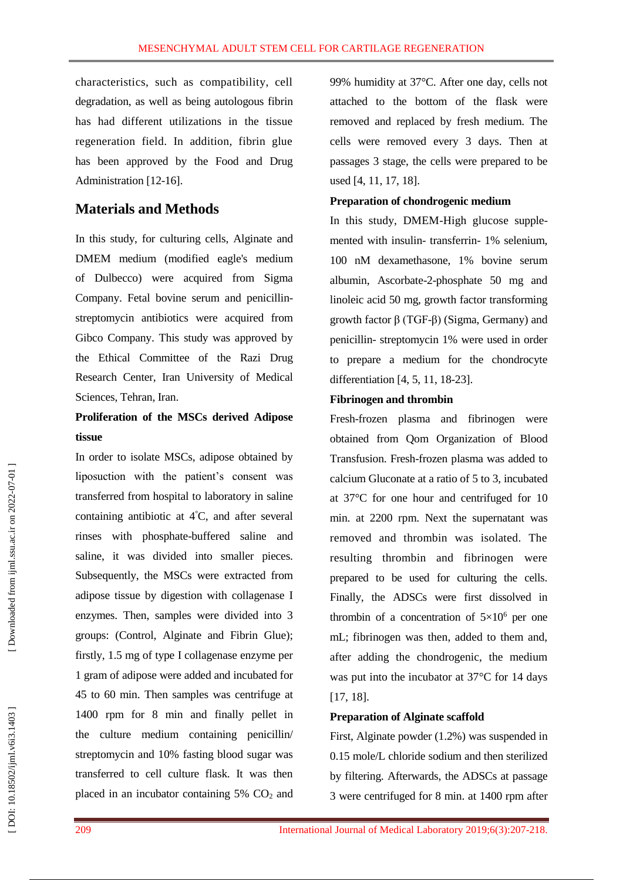characteristics, such as compatibility, cell degradation, as well as being autologous fibrin has had different utilizations in the tissue regeneration field. In addition, fibrin glue has been approved by the Food and Drug Administration [12 -16].

## **Materials and Methods**

In this study, for culturing cells, Alginate and DMEM medium (modified eagle's medium of Dulbecco) were acquired from Sigma Company. Fetal bovine serum and penicillin streptomycin antibiotics were acquired from Gibco Company. This study was approved by the Ethical Committee of the Razi Drug Research Center, Iran University of Medical Sciences, Tehran, Iran.

## **Proliferation of the MSCs derived Adipose tissue**

In order to isolate MSCs, adipose obtained by liposuction with the patient's consent was transferred from hospital to laboratory in saline containing antibiotic at 4 °C, and after several rinses with phosphate -buffered saline and saline, it was divided into smaller pieces. Subsequently, the MSCs were extracted from adipose tissue by digestion with collagenase I enzymes. Then, samples were divided into 3 groups: (Control, Alginate and Fibrin Glue); firstly, 1.5 mg of type I collagenase enzyme per 1 gram of adipose were added and incubated for 45 to 60 min. Then samples was centrifuge at 1400 rpm for 8 min and finally pellet in the culture medium containing penicillin/ streptomycin and 10% fasting blood sugar was transferred to cell culture flask. It was then placed in an incubator containing 5% CO <sup>2</sup> and 99% humidity at 37°C. After one day, cells not attached to the bottom of the flask were remove d and replaced by fresh medium. The cells were removed every 3 days. Then at passages 3 stage, the cells were prepared to be used [4, 11, 17, 18].

### **Preparation of chondrogenic medium**

In this study, DMEM-High glucose supplemented with insulin- transferrin- 1% selenium, 100 nM dexamethasone, 1% bovine serum albumin , Ascorbate - 2 -phosphate 50 mg and linoleic acid 50 mg, growth factor transforming growth factor β (TGF -β) (Sigma, Germany) and penicillin - streptomycin 1% were used in order to prepare a medium for the chondrocyte differentiation [4, 5, 11, 18 -23].

### **Fibrinogen and thrombin**

Fresh -frozen plasma and fibrinogen were obtained from Qom Organization of Blood Transfusion. Fresh -frozen plasma was added to calcium Gluconate at a ratio of 5 to 3, incubated at 37°C for one hour and centrifuged for 10 min . at 2200 rpm. Next the supernatant was removed and thrombin was isolated. The resulting thrombin and fibrinogen were prepared to be used for culturing the cells. Finally, the ADSCs were first dissolved in thrombin of a concentration of  $5\times10^6$  per one mL; fibrinogen was then , added to them and, after adding the chondrogenic, the medium was put into the incubator at  $37^{\circ}$ C for 14 days [17, 18].

### **Preparation of Alginate scaffold**

First, Alginate powder (1.2%) was suspended in 0.15 mole/L chloride sodium and then sterilized by filtering. Afterward s, the ADSCs at passage 3 were centrifuged for 8 min . at 1400 rpm after

DOI: 10.18502/ijml.v6i3.1403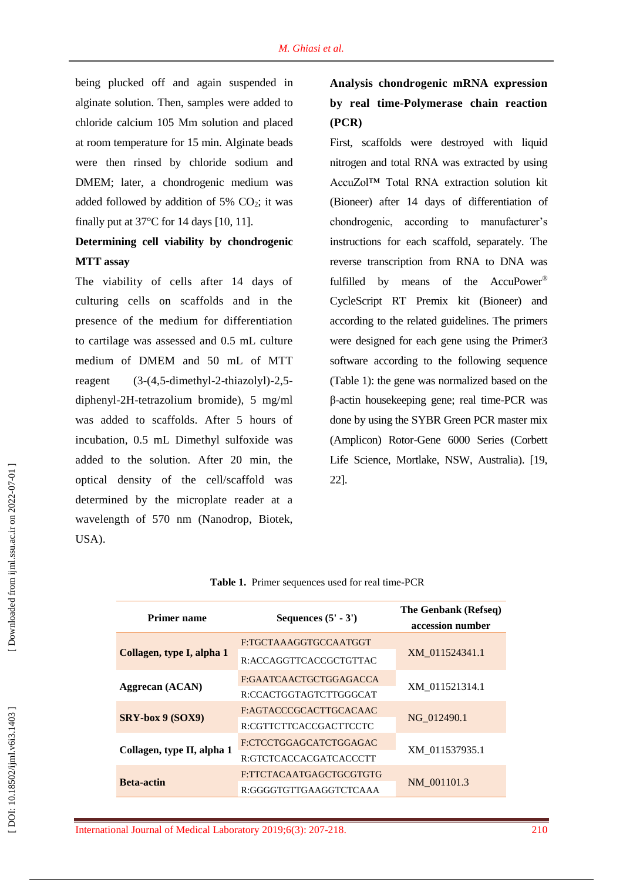being plucked off and again suspended in alginate solution. Then, samples were added to chloride calcium 105 Mm solution and placed at room temperature for 15 min. Alginate beads were then rinsed by chloride sodium and DMEM; later, a chondrogenic medium was added followed by addition of  $5\%$  CO<sub>2</sub>; it was finally put at  $37^{\circ}$ C for 14 days [10, 11].

## **Determining cell viability by chondrogenic MTT assay**

The viability of cells after 14 days of culturing cells on scaffolds and in the presence of the medium for differentiation to cartilage was assessed and 0.5 mL culture medium of DMEM and 50 mL of MTT reagent -(4,5-dimethyl-2-thiazolyl)-2,5diphenyl -2H -tetrazolium bromide), 5 mg/ml was added to scaffolds. After 5 hours of incubation, 0.5 m L Dimethyl sulfoxide was added to the solution. After 20 min, the optical density of the cell/scaffold was determined by the microplate reader at a wavelength of 570 nm (Nanodrop, Biotek, USA).

## **Analysis chondrogenic mRNA expression by real time -Polymerase chain reaction (PCR)**

First, scaffolds were destroyed with liquid nitrogen and total RNA was extracted by using AccuZol™ Total RNA extraction solution kit (Bioneer) after 14 days of differentiation of chondrogenic, according to manufacturer's instructions for each scaffold, separately. The reverse transcription from RNA to DNA was fulfilled by means of the AccuPower® CycleScript RT Premix kit (Bioneer) and according to the related guidelines. The primers were designed for each gene using the Primer3 software according to the following sequence (Table 1): the gene was normalized based on the β-actin housekeeping gene; real time-PCR was done by using the SYBR Green PCR master mix (Amplicon) Rotor -Gene 6000 Series (Corbett Life Science, Mortlake, NSW, Australia). [19, 22].

| <b>Primer name</b>         | Sequences $(5' - 3')$   | The Genbank (Refseq)<br>accession number |
|----------------------------|-------------------------|------------------------------------------|
| Collagen, type I, alpha 1  | F:TGCTAAAGGTGCCAATGGT   | XM 011524341.1                           |
|                            | R:ACCAGGTTCACCGCTGTTAC  |                                          |
| Aggrecan (ACAN)            | F:GAATCAACTGCTGGAGACCA  | XM 011521314.1                           |
|                            | R:CCACTGGTAGTCTTGGGCAT  |                                          |
| $SRY-box 9 (SOX9)$         | F:AGTACCCGCACTTGCACAAC  | NG 012490.1                              |
|                            | R:CGTTCTTCACCGACTTCCTC  |                                          |
| Collagen, type II, alpha 1 | F:CTCCTGGAGCATCTGGAGAC  | XM 011537935.1                           |
|                            | R:GTCTCACCACGATCACCCTT  |                                          |
| <b>Beta-actin</b>          | F:TTCTACAATGAGCTGCGTGTG | NM 001101.3                              |
|                            | R:GGGGTGTTGAAGGTCTCAAA  |                                          |

Table 1. Primer sequences used for real time-PCR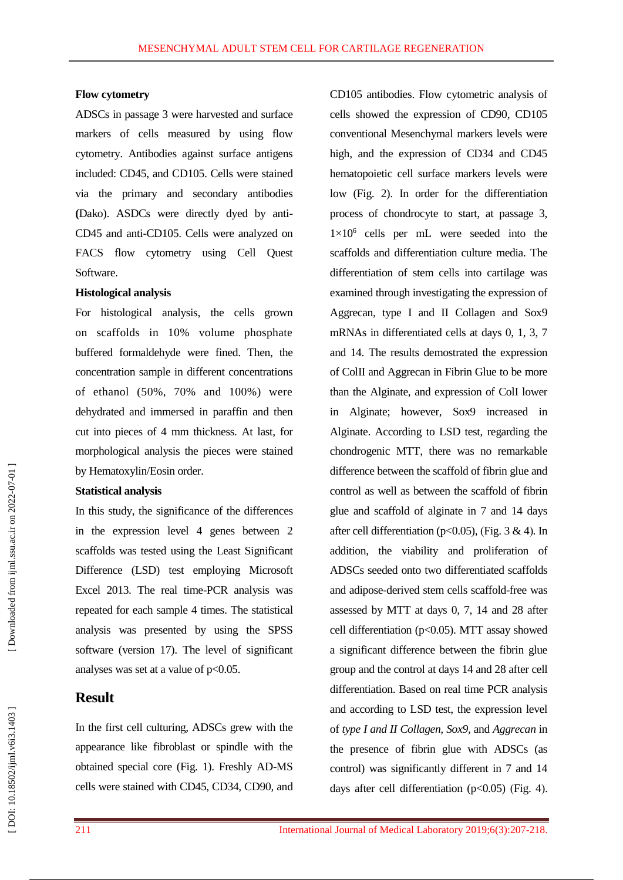### **Flow cytometry**

ADSCs in passage 3 were harvested and surface markers of cells measured by using flow cytometry. Antibodies against surface antigens included: CD45, and CD105. Cells were stained via the primary and secondary antibodies **(**Dako). ASDCs were directly dyed by anti-CD45 and anti-CD105. Cells were analyzed on FACS flow cytometry using Cell Quest Software.

#### **Histological analysis**

For histological analysis, the cells grown on scaffolds in 10% volume phosphate buffered formaldehyde were fined. Then, the concentration sample in different concentrations of ethanol (50%, 70% and 100%) were dehydrated and immersed in paraffin and then cut into pieces of 4 mm thickness. At last, for morphological analysis the pieces were stained by Hematoxylin/Eosin order.

#### **Statistical analysis**

In this study, the significance of the differences in the expression level 4 genes between 2 scaffolds was tested using the Least Significant Difference (LSD) test employing Microsoft Excel 2013. The real time -PCR analysis was repeated for each sample 4 times. The statistical analysis was presented by using the SPSS software (version 17). The level of significant analyses was set at a value of  $p<0.05$ .

### **Result**

In the first cell culturing, ADSCs grew with the appearance like fibroblast or spindle with the obtained special core (Fig. 1). Freshly AD -MS cells were stained with CD45, CD34, CD90, and

CD105 antibodies. Flow cytometric analysis of cells showed the expression of CD90, CD105 conventional Mesenchymal markers levels were high, and the expression of CD34 and CD45 hematopoietic cell surface markers levels were low (Fig. 2). In order for the differentiation process of chondrocyte to start, at passage 3, 1×10 6 cells per mL were seeded into the scaffolds and differentiation culture media. The differentiation of stem cells into cartilage was examined through investigating the expression of Aggrecan, type I and II Collagen and Sox9 mRNAs in differentiated cells at days 0, 1, 3, 7 and 14. The results demostrated the expression of ColII and Aggrecan in Fibrin Glue to be more than the Alginate , and expression of ColI lower in Alginate; however, Sox9 increased in Alginate. According to LSD test, regarding the chondrogenic MTT, there was no remarkable difference between the scaffold of fibrin glue and control as well as between the scaffold of fibrin glue and scaffold of alginate in 7 and 14 days after cell differentiation ( $p<0.05$ ), (Fig. 3 & 4). In addition, the viability and proliferation of ADSCs seeded onto two differentiated scaffolds and adipose -derived stem cells scaffold -free was assessed by MTT at days 0, 7, 14 and 28 after cell differentiation ( p<0.05). MTT assay showed a significant difference between the fibrin glue group and the control at days 14 and 28 after cell differentiation. Based on real time PCR analysis and according to LSD test, the expression level of *type I and II Collagen, Sox9,* and *Aggrecan* in the presence of fibrin glue with ADSCs (as control) was significantly different in 7 and 14 days after cell differentiation  $(p<0.05)$  (Fig. 4).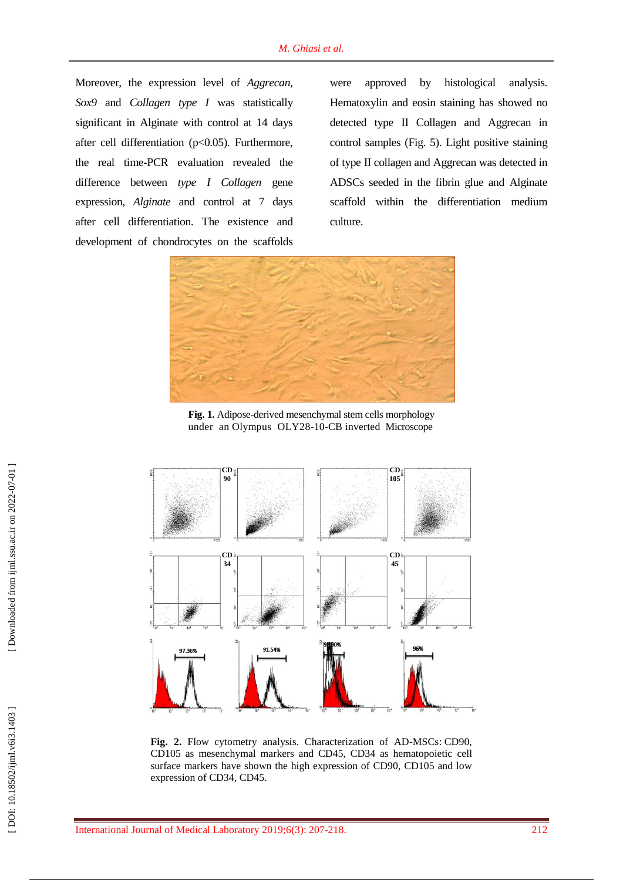Moreover, the expression level of *Aggrecan*, *Sox9* and *Collagen type I* was statistically significant in Alginate with control at 14 days after cell differentiation ( p<0.05). Furthermore, the real time -PCR evaluation revealed the difference between *type I Collagen* gene expression, *Alginate* and control at 7 days after cell differentiation. The existence and development of chondrocytes on the scaffolds

were approved by histological analysis. Hematoxylin and eosin staining has showed no detected type II Collagen and Aggrecan in control samples (Fig. 5). Light positive staining of type II collagen and Aggrecan was detected in ADSCs seeded in the fibrin glue and Alginate scaffold within the differentiation medium culture.



**Fig. 1.** Adipose -derived mesenchymal stem cells morphology under an Olympus OLY28 -10 -CB inverted Microscope



Fig. 2. Flow cytometry analysis. Characterization of AD-MSCs: CD90, CD105 as mesenchymal markers and CD45, CD34 as hematopoietic cell surface markers have shown the high expression of CD90, CD105 and low expression of CD34, CD45.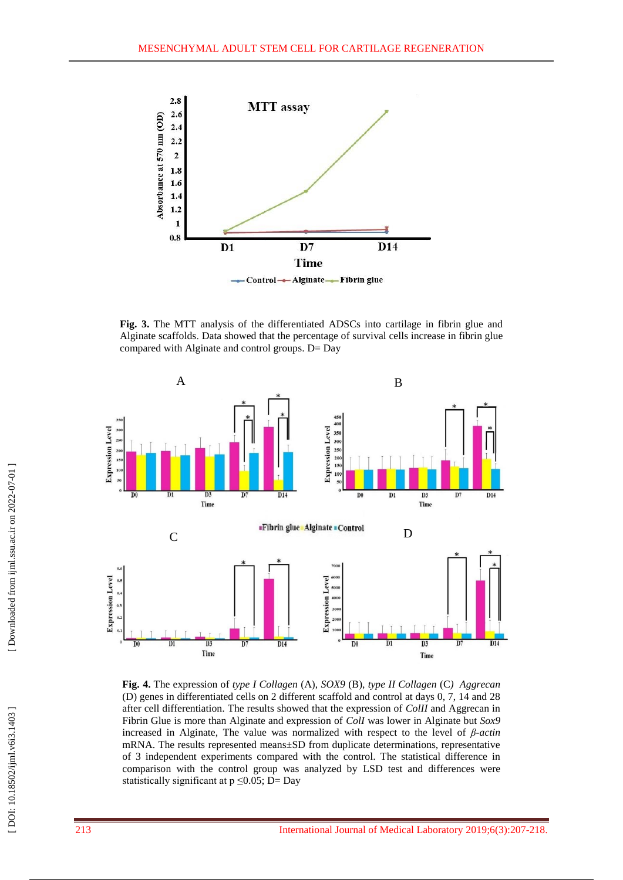

**Fig . 3.** The MTT analysis of the differentiated ADSCs into cartilage in fibrin glue and Alginate scaffolds . Data showed that the percentage of survival cells increase in fibrin glue compared with Alginate and control groups. D= Day



**Fig . 4.** The expression of *type I Collagen* (A), *SOX9* (B), *type II Collagen* (C*) Aggrecan* (D) genes in differentiated cells on 2 different scaffold and control at days 0, 7, 14 and 28 after cell differentiation. The results showed that the expression of *ColII* and Aggrecan in Fibrin Glue is more than Alginate and expression of *ColI* was lower in Alginate but *Sox9* increased in Alginate, The value was normalized with respect to the level of  $\beta$ -*actin* mRNA. The results represented means±SD from duplicate determinations, representative of 3 independent experiments compared with the control. The statistical difference in comparison with the control group was analyzed by LSD test and differences were statistically significant at  $p \le 0.05$ ; D= Day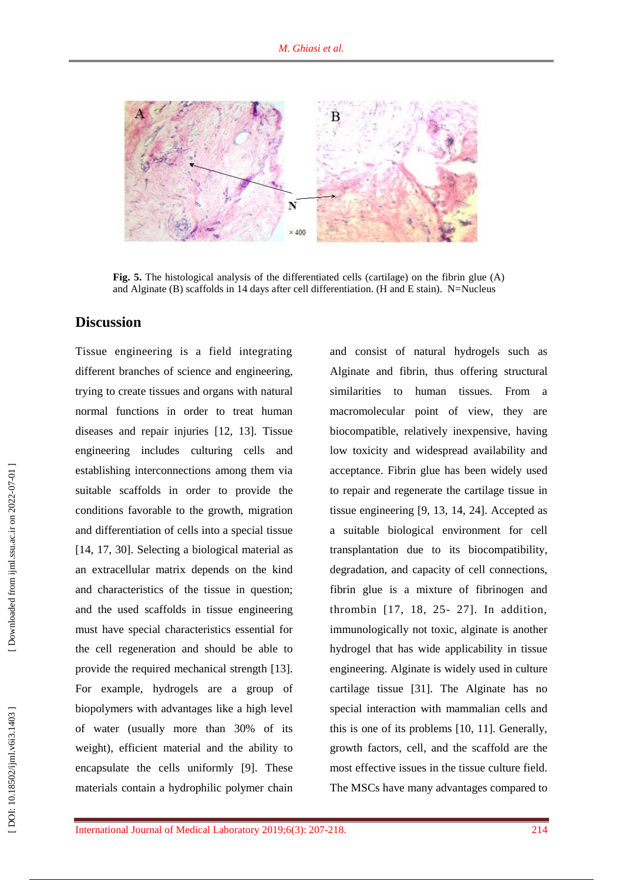

**Fig . 5.** The histological analysis of the differentiated cells (cartilage) on the fibrin glue (A) and Alginate ( B) scaffolds in 14 days after cell differentiation. (H and E stain). N=Nucleus

## **Discussion**

Tissue engineering is a field integrating different branches of science and engineering, trying to create tissues and organs with natural normal functions in order to treat human diseases and repair injuries [12, 13]. Tissue engineering includes culturing cells and establishing interconnections among them via suitable scaffolds in order to provide the condition s favorable to the growth, migration and differentiation of cells into a special tissue [14, 17, 30]. Selecting a biological material as an extracellular matrix depends on the kind and characteristics of the tissue in question; and the used scaffolds in tissue engineering must have special characteristics essential for the cell regeneration and should be able to provide the required mechanical strength [13]. For example, hydrogels are a group of biopolymers with advantages like a high level of water (usually more than 30% of its weight), efficient material and the ability to encapsulate the cells uniformly [9]. These materials contain a hydrophilic polymer chain

and consist of natural hydrogels such as Alginate and fibrin, thus offering structural similarities to human tissues. From a macromolecular point of view, they are biocompatible, relatively inexpensive, having low toxicity and widespread availability and acceptance. Fibrin glue has been widely used to repair and regenerate the cartilage tissue in tissue engineering [9, 13, 14, 24]. Accepted as a suitable biological environment for cell transplantation due to its biocompatibility, degradation, and capacity of cell connections, fibrin glue is a mixture of fibrinogen and thrombin [17, 18, 25 - 27]. In addition, immunologically not toxic, alginate is another hydrogel that has wide applicability in tissue engineering. Alginate is widely used in culture cartilage tissue [31]. The Alginate has no special interaction with mammalian cells and this is one of its problems [10, 11]. Generally, growth factors, cell, and the scaffold are the most effective issues in the tissue culture field. The MSCs have many advantages compared to

DOI: 10.18502/ijml.v6i3.1403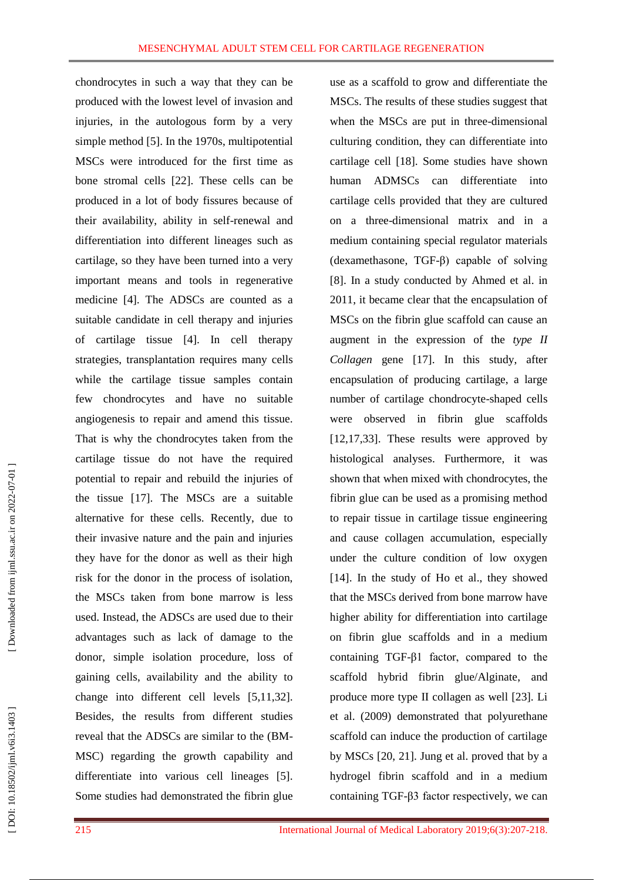chondrocytes in such a way that they can be produced with the lowest level of invasion and injuries, in the autologous form by a very simple method [5]. In the 1970s , multipotential MSCs were introduced for the first time as bone stromal cells [22]. These cells can be produce d in a lot of body fissures because of their availability, ability in self -renewal and differentiation into different lineages such as cartilage, so they have been turned into a very important means and tool s in regenerative medicine [4]. The ADSCs are counted as a suitable candidate in cell therapy and injuries of cartilage tissue [4]. In cell therapy strategies, transplantation requires many cells while the cartilage tissue samples contain few chondrocytes and have no suitable angiogenesis to repair and amend this tissue. That is why the chondrocytes taken from the cartilage tissue do not have the required potential to repair and rebuild the injuries of th e tissue [17]. The MSCs are a suitable alternative for these cells. Recently, due to their invasive nature and the pain and injuries they have for the donor as well as their high risk for the donor in the process of isolation, the MSCs taken from bone marrow is less used. Instead, the ADSCs are used due to their advantages such as lack of damage to the donor, simple isolation procedure, loss of gaining cells, availability and the ability to change into different cell levels [5,11,32]. Besides, the results from different studies reveal that the ADSCs are similar to the (BM - MSC) regarding the growth capability and differentiate into various cell lineages [5]. Some studies had demonstrated the fibrin glue

use as a scaffold to grow and differentiate the MSCs. The results of these studies suggest that when the MSCs are put in three-dimensional culturing condition, they can differentiate into cartilage cell [18]. Some studies have show n human ADMSCs can differentiate into cartilage cells provided that they are cultured on a three -dimensional matrix and in a medium containing special regulator materials (dexamethasone, TGF -β) capable of solving [8]. In a study conducted by Ahmed et al. in 2011, it became clear that the encapsulation of MSCs on the fibrin glue scaffold can cause an augment in the expression of the *type II Collagen* gene [17]. In this study, after encapsulation of producing cartilage, a large number of cartilage chondrocyte -shaped cells were observed in fibrin glue scaffolds [12,17,33]. These results were approved by histological analys e s. Furthermore, it was shown that when mixed with chondrocytes, the fibrin glue can be used as a promising method to repair tissue in cartilage tissue engineering and cause collagen accumulation, especially under the culture condition of low oxygen [14]. In the study of Ho et al., they showed that the MSCs derived from bone marrow have higher ability for differentiation into cartilage on fibrin glue scaffolds and in a medium containing TGF -β1 factor, compared to the scaffold hybrid fibrin glue/Alginate , and produce more type II collagen as well [23]. Li et al. (2009) demonstrated that polyurethane scaffold can induce the production of cartilage by MSCs [20, 21]. Ju ng et al. proved that by a hydrogel fibrin scaffold and in a medium containing TGF -β3 factor respectively, we can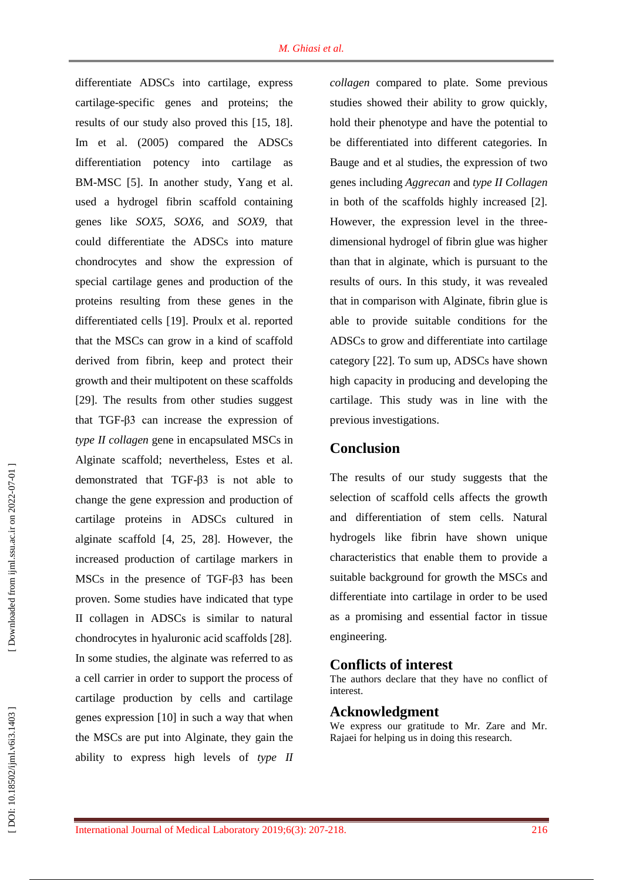differentiate ADSCs into cartilage, express cartilage -specific genes and proteins; the results of our study also proved this [15, 18]. Im et al. (2005) compared the ADSCs differentiation potency into cartilage as BM -MSC [5]. In another study, Yang et al. used a hydrogel fibrin scaffold containing genes like *SOX5, SOX6* , and *SOX9,* that could differentiate the ADSCs into mature chondrocytes and show the expression of special cartilage genes and production of the proteins resulting from these genes in the differentiated cells [19]. Proulx et al. reported that the MSCs can grow in a kind of scaffold derived from fibrin, keep and protect their growth and their multipotent on these scaffolds [29]. The results from other studies suggest that TGF -β3 can increase the expression of *type II collagen* gene in encapsulated MSCs in Alginate scaffold; nevertheless, Estes et al. demonstrated that TGF -β3 is not able to change the gene expression and production of cartilage proteins in ADSCs cultured in alginate scaffold [4, 25, 28]. However, the increased production of cartilage markers in MSCs in the presence of TGF-β3 has been proven. Some studies have indicated that type II collagen in ADSCs is similar to natural chondrocytes in hyaluronic acid scaffolds [28]. In some studies, the alginate was referred to as a cell carrier in order to support the process of cartilage production by cells and cartilage genes expression [10 ] in such a way that when the MSCs are put into Alginate, they gain the ability to express high levels of *type II*

*collagen* compared to plate. Some previous studies showed their ability to grow quickly, hold their phenotype and have the potential to be differentiated into different categories. In Bauge and et al studies, the expression of two genes including *Aggrecan* and *type II Collagen* in both of the scaffolds highly increased [2]. However, the expression level in the three dimensional hydrogel of fibrin glue was higher than that in alginate, which is pursuant to the results of our s. In this study, it was revealed that in comparison with Alginate, fibrin glue is able to provide suitable conditions for the ADSCs to grow and differentiate into cartilage category [22]. To sum up, ADSCs have shown high capacity in producing and developing the cartilage. This study was in line with the previous investigations .

### **Conclusion**

The results of our study suggest s that the selection of scaffold cells affects the growth and differentiation of stem cells. Natural hydrogels like fibrin have shown unique characteristics that enable them to provide a suitable background for growth the MSCs and differentiate into cartilage in order to be used as a promising and essential factor in tissue engineering.

### **Conflicts of interest**

The authors declare that they have no conflict of interest.

### **Acknowledgment**

We express our gratitude to Mr. Zare and Mr. Rajaei for helping us in doing this research.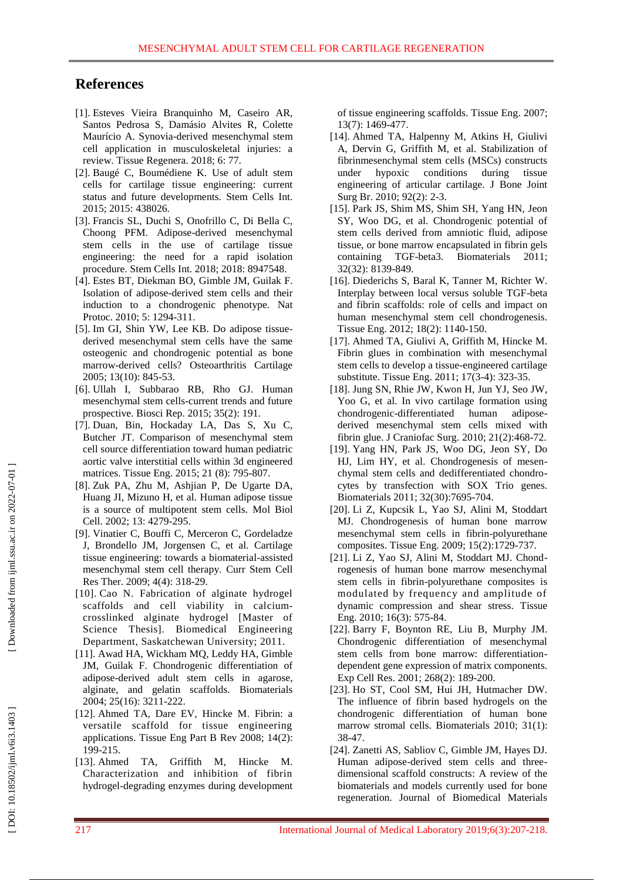## **References**

- [1]. Esteves Vieira Branquinho M, Caseiro AR, Santos Pedrosa S, Damásio Alvites R, Colette Maurício A. Synovia -derived mesenchymal stem cell application in musculoskeletal injuries: a review. Tissue Regenera. 2018; 6: 77.
- [ 2]. Baugé C, Boumédiene K. Use of adult stem cells for cartilage tissue engineering: current status and future developments. Stem Cells Int. 2015; 2015: 438026.
- [ 3]. Francis SL, Duchi S, Onofrillo C, Di Bella C, Choong PFM. Adipose -derived mesenchymal stem cells in the use of cartilage tissue engineering: the need for a rapid isolation procedure. Stem Cells Int. 2018; 2018: 8947548.
- [ 4]. Estes BT, Diekman BO, Gimble JM, Guilak F. Isolation of adipose -derived stem cells and their induction to a chondrogenic phenotype. Nat Protoc. 2010; 5: 1294 -311.
- [ 5]. Im GI, Shin YW, Lee KB. Do adipose tissue derived mesenchymal stem cells have the same osteogenic and chondrogenic potential as bone marrow -derived cells? Osteoarthritis Cartilage 2005; 13(10): 845 -53.
- [ 6]. Ullah I, Subbarao RB, Rho GJ. Human mesenchymal stem cells -current trends and future prospective. Biosci Rep. 2015; 35(2): 191.
- [ 7]. Duan, Bin , Hockaday LA, Das S, Xu C, Butcher JT. Comparison of mesenchymal stem cell source differentiation toward human pediatric aortic valve interstitial cells within 3d engineered matrices. Tissue Eng. 2015; 21 (8): 795-807.
- [ 8]. [Zuk PA,](http://www.ncbi.nlm.nih.gov/pubmed/?term=Zuk%20PA%5BAuthor%5D&cauthor=true&cauthor_uid=12475952) [Zhu M,](http://www.ncbi.nlm.nih.gov/pubmed/?term=Zhu%20M%5BAuthor%5D&cauthor=true&cauthor_uid=12475952) [Ashjian P,](http://www.ncbi.nlm.nih.gov/pubmed/?term=Ashjian%20P%5BAuthor%5D&cauthor=true&cauthor_uid=12475952) [De Ugarte DA,](http://www.ncbi.nlm.nih.gov/pubmed/?term=De%20Ugarte%20DA%5BAuthor%5D&cauthor=true&cauthor_uid=12475952) [Huang JI,](http://www.ncbi.nlm.nih.gov/pubmed/?term=Huang%20JI%5BAuthor%5D&cauthor=true&cauthor_uid=12475952) [Mizuno H,](http://www.ncbi.nlm.nih.gov/pubmed/?term=Mizuno%20H%5BAuthor%5D&cauthor=true&cauthor_uid=12475952) et al. Human adipose tissue is a source of multipotent stem cells. [Mol Biol](http://www.ncbi.nlm.nih.gov/pubmed/12475952)  [Cell.](http://www.ncbi.nlm.nih.gov/pubmed/12475952) 2002; 13: 4279 - 295.
- [ 9]. Vinatier C, Bouffi C, Merceron C, Gordeladze J, Brondello JM, Jorgensen C, et al. Cartilage tissue engineering: towards a biomaterial -assisted mesenchymal stem cell therapy. [Curr Stem Cell](http://www.ncbi.nlm.nih.gov/pubmed/19804369)  [Res Ther.](http://www.ncbi.nlm.nih.gov/pubmed/19804369) 2009; 4(4): 318 -29.
- [10]. Cao N. Fabrication of alginate hydrogel scaffolds and cell viability in calcium crosslinked alginate hydrogel [Master of Science Thesis]. Biomedical Engineering Department, Saskatchewan University; 2011.
- [11]. Awad HA, Wickham MQ, Leddy HA, Gimble JM, Guilak F. Chondrogenic differentiation of adipose -derived adult stem cells in agarose, alginate, and gelatin scaffolds. Biomaterials 2004; 25(16): 3211 -222.
- [12]. Ahmed TA, Dare EV, Hincke M . Fibrin: a versatile scaffold for tissue engineering applications. Tissue Eng Part B Rev 2008; 14(2): 199 -215.
- [13]. Ahmed TA, Griffith M, Hincke M. Characterization and inhibition of fibrin hydrogel -degrading enzymes during development

of tissue engineering scaffolds. Tissue Eng . 2007; 13(7): 1469 -477.

- [14]. Ahmed TA, Halpenny M, Atkins H, Giulivi A, Dervin G, Griffith M, et al. Stabilization of fibrinmesenchymal stem cells (MSCs) constructs under hypoxic conditions during tissue engineering of articular cartilage. J Bone Joint Surg Br . 2010; 92(2): 2 -3.
- [15]. Park JS, Shim MS, Shim SH, Yang HN, Jeon SY, Woo DG, et al. Chondrogenic potential of stem cells derived from amniotic fluid, adipose tissue, or bone marrow encapsulated in fibrin gels containing TGF -beta3. Biomaterials 2011; 32(32): 8139 -849.
- [16]. Diederichs S, Baral K, Tanner M, Richter W. Interplay between local versus soluble TGF -beta and fibrin scaffolds: role of cells and impact on human mesenchymal stem cell chondrogenesis. Tissue Eng . 2012; 18(2): 1140 -150.
- [17]. Ahmed TA, Giulivi A, Griffith M, Hincke M. Fibrin glues in combination with mesenchymal stem cells to develop a tissue -engineered cartilage substitute. Tissue Eng. 2011; 17(3-4): 323-35.
- [18]. Jung SN, Rhie JW, Kwon H, Jun YJ, Seo JW, Yoo G, et al. In vivo cartilage formation using chondrogenic -differentiated human adipose adiposederived mesenchymal stem cells mixed with fibrin glue. [J Craniofac Surg.](http://www.ncbi.nlm.nih.gov/pubmed/20489452) 2010; 21(2):468 -72.
- [19]. Yang HN, Park JS, Woo DG, Jeon SY, Do HJ, Lim HY, et al. Chondrogenesis of mesen chymal stem cells and dedifferentiated chondro cytes by transfection with SOX Trio genes. [Biomaterials](http://www.ncbi.nlm.nih.gov/pubmed/21764121) 2011; 32(30):7695 -704.
- [20]. Li Z, Kupcsik L, Yao SJ, Alini M, Stoddart MJ. Chondrogenesis of human bone marrow mesenchymal stem cells in fibrin -polyurethane composites. [Tissue Eng.](http://www.ncbi.nlm.nih.gov/pubmed/19115827) 2009; 15(2):1729 - 737.
- [21]. Li Z, Yao SJ, Alini M, Stoddart MJ. Chond rogenesis of human bone marrow mesenchymal stem cells in fibrin -polyurethane composites is modulated by frequency and amplitude of dynamic compression and shear stress. [Tissue](http://www.ncbi.nlm.nih.gov/pubmed/19737049)  [Eng.](http://www.ncbi.nlm.nih.gov/pubmed/19737049) 2010; 16(3) : 575 -84.
- [22]. [Barry F,](http://www.ncbi.nlm.nih.gov/pubmed/?term=Barry%20F%5BAuthor%5D&cauthor=true&cauthor_uid=11478845) Boynton RE, [Liu B,](http://www.ncbi.nlm.nih.gov/pubmed/?term=Liu%20B%5BAuthor%5D&cauthor=true&cauthor_uid=11478845) [Murphy JM.](http://www.ncbi.nlm.nih.gov/pubmed/?term=Murphy%20JM%5BAuthor%5D&cauthor=true&cauthor_uid=11478845) Chondrogenic differentiation of mesenchymal stem cells from bone marrow: differentiation dependent gene expression of matrix components. Exp Cell Res . 2001; 268 (2): 189 -200.
- [23]. Ho ST, Cool SM, Hui JH, Hutmacher DW. The influence of fibrin based hydrogels on the chondrogenic differentiation of human bone marrow stromal cells. [Biomaterials](http://www.ncbi.nlm.nih.gov/pubmed/19800683) 2010; 31(1) : 38 -47.
- [24]. Zanetti AS, Sabliov C, Gimble JM, Hayes DJ. Human adipose -derived stem cells and three dimensional scaffold constructs: A review of the biomaterials and models currently used for bone regeneration. Journal of Biomedical Materials

DOI: 10.18502/ijml.v6i3.1403